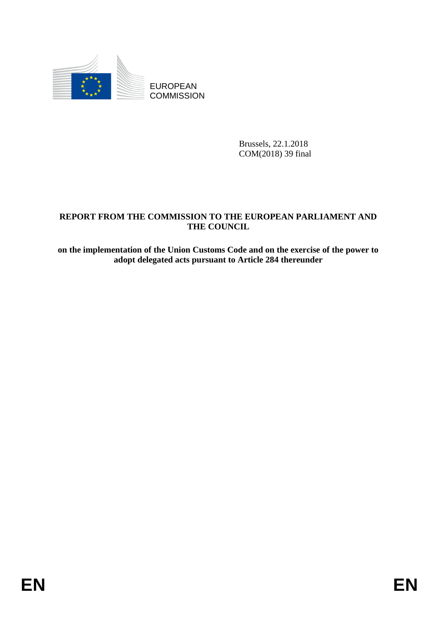

**COMMISSION** 

Brussels, 22.1.2018 COM(2018) 39 final

# EUROPEAN<br>
EUROPEAN<br>
ENERGY TROM THE COMMISSION<br>
REFORT FROM THE COMMISSION<br>
THE COUNCIL<br>
THE COUNCIL<br>
THE COUNCIL<br>
ON THE COUNCIL<br>
ON THE COUNCIL<br>
ON THE COUNCIL<br>
ON THE COUNCIL<br>
ON THE COUNCIL<br>
ON THE COUNCIL<br>
ON THE COUN **REPORT FROM THE COMMISSION TO THE EUROPEAN PARLIAMENT AND THE COUNCIL**

**on the implementation of the Union Customs Code and on the exercise of the power to adopt delegated acts pursuant to Article 284 thereunder**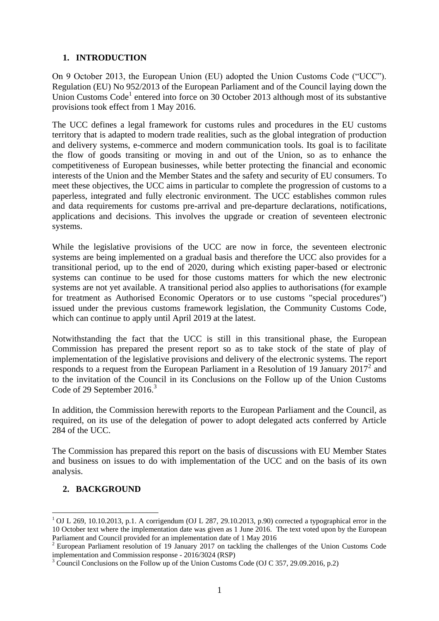# **1. INTRODUCTION**

On 9 October 2013, the European Union (EU) adopted the Union Customs Code ("UCC"). Regulation (EU) No 952/2013 of the European Parliament and of the Council laying down the Union Customs Code<sup>1</sup> entered into force on 30 October 2013 although most of its substantive provisions took effect from 1 May 2016.

The UCC defines a legal framework for customs rules and procedures in the EU customs territory that is adapted to modern trade realities, such as the global integration of production and delivery systems, e-commerce and modern communication tools. Its goal is to facilitate the flow of goods transiting or moving in and out of the Union, so as to enhance the competitiveness of European businesses, while better protecting the financial and economic interests of the Union and the Member States and the safety and security of EU consumers. To meet these objectives, the UCC aims in particular to complete the progression of customs to a paperless, integrated and fully electronic environment. The UCC establishes common rules and data requirements for customs pre-arrival and pre-departure declarations, notifications, applications and decisions. This involves the upgrade or creation of seventeen electronic systems.

While the legislative provisions of the UCC are now in force, the seventeen electronic systems are being implemented on a gradual basis and therefore the UCC also provides for a transitional period, up to the end of 2020, during which existing paper-based or electronic systems can continue to be used for those customs matters for which the new electronic systems are not yet available. A transitional period also applies to authorisations (for example for treatment as Authorised Economic Operators or to use customs "special procedures") issued under the previous customs framework legislation, the Community Customs Code, which can continue to apply until April 2019 at the latest.

Notwithstanding the fact that the UCC is still in this transitional phase, the European Commission has prepared the present report so as to take stock of the state of play of implementation of the legislative provisions and delivery of the electronic systems. The report responds to a request from the European Parliament in a Resolution of 19 January  $2017^2$  and to the invitation of the Council in its Conclusions on the Follow up of the Union Customs Code of 29 September 2016.<sup>3</sup>

In addition, the Commission herewith reports to the European Parliament and the Council, as required, on its use of the delegation of power to adopt delegated acts conferred by Article 284 of the UCC.

The Commission has prepared this report on the basis of discussions with EU Member States and business on issues to do with implementation of the UCC and on the basis of its own analysis.

# **2. BACKGROUND**

**.** 

 $1$  OJ L 269, 10.10.2013, p.1. A corrigendum (OJ L 287, 29.10.2013, p.90) corrected a typographical error in the 10 October text where the implementation date was given as 1 June 2016. The text voted upon by the European Parliament and Council provided for an implementation date of 1 May 2016

<sup>&</sup>lt;sup>2</sup> European Parliament resolution of 19 January 2017 on tackling the challenges of the Union Customs Code implementation and Commission response - 2016/3024 (RSP)

 $3 \text{ Council Conclusions on the Follow up of the Union Customs Code (OJ C 357, 29.09.2016, p.2)}$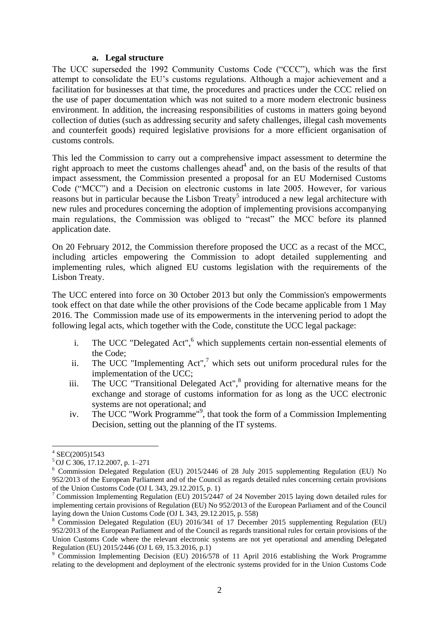### **a. Legal structure**

The UCC superseded the 1992 Community Customs Code ("CCC"), which was the first attempt to consolidate the EU's customs regulations. Although a major achievement and a facilitation for businesses at that time, the procedures and practices under the CCC relied on the use of paper documentation which was not suited to a more modern electronic business environment. In addition, the increasing responsibilities of customs in matters going beyond collection of duties (such as addressing security and safety challenges, illegal cash movements and counterfeit goods) required legislative provisions for a more efficient organisation of customs controls.

This led the Commission to carry out a comprehensive impact assessment to determine the right approach to meet the customs challenges ahead<sup>4</sup> and, on the basis of the results of that impact assessment, the Commission presented a proposal for an EU Modernised Customs Code ("MCC") and a Decision on electronic customs in late 2005. However, for various reasons but in particular because the Lisbon Treaty<sup>5</sup> introduced a new legal architecture with new rules and procedures concerning the adoption of implementing provisions accompanying main regulations, the Commission was obliged to "recast" the MCC before its planned application date.

On 20 February 2012, the Commission therefore proposed the UCC as a recast of the MCC, including articles empowering the Commission to adopt detailed supplementing and implementing rules, which aligned EU customs legislation with the requirements of the Lisbon Treaty.

The UCC entered into force on 30 October 2013 but only the Commission's empowerments took effect on that date while the other provisions of the Code became applicable from 1 May 2016. The Commission made use of its empowerments in the intervening period to adopt the following legal acts, which together with the Code, constitute the UCC legal package:

- <span id="page-2-0"></span>i. The UCC "Delegated Act", $6$  which supplements certain non-essential elements of the Code;
- ii. The UCC "Implementing  $Act''$ ," which sets out uniform procedural rules for the implementation of the UCC;
- <span id="page-2-1"></span>iii. The UCC "Transitional Delegated Act",<sup>8</sup> providing for alternative means for the exchange and storage of customs information for as long as the UCC electronic systems are not operational; and
- iv. The UCC "Work Programme"<sup>9</sup>, that took the form of a Commission Implementing Decision, setting out the planning of the IT systems.

<sup>1</sup> 4 SEC(2005)1543

<sup>5</sup> OJ C 306, 17.12.2007, p. 1–271

<sup>6</sup> Commission Delegated Regulation (EU) 2015/2446 of 28 July 2015 supplementing Regulation (EU) No 952/2013 of the European Parliament and of the Council as regards detailed rules concerning certain provisions of the Union Customs Code (OJ L 343, 29.12.2015, p. 1)

<sup>&</sup>lt;sup>7</sup> [Commission Implementing Regulation \(EU\) 2015/2447](http://eur-lex.europa.eu/legal-content/EN/TXT/?uri=uriserv:OJ.L_.2015.343.01.0558.01.ENG&toc=OJ:L:2015:343:TOC) of 24 November 2015 laying down detailed rules for implementing certain provisions of Regulation (EU) No 952/2013 of the European Parliament and of the Council laying down the Union Customs Code (OJ L 343, 29.12.2015, p. 558)

<sup>8</sup> Commission Delegated Regulation (EU) 2016/341 of 17 December 2015 supplementing Regulation (EU) 952/2013 of the European Parliament and of the Council as regards transitional rules for certain provisions of the Union Customs Code where the relevant electronic systems are not yet operational and amending Delegated Regulation (EU) 2015/2446 (OJ L 69, 15.3.2016, p.1)

<sup>&</sup>lt;sup>9</sup> Commission Implementing Decision (EU) 2016/578 of 11 April 2016 establishing the Work Programme relating to the development and deployment of the electronic systems provided for in the Union Customs Code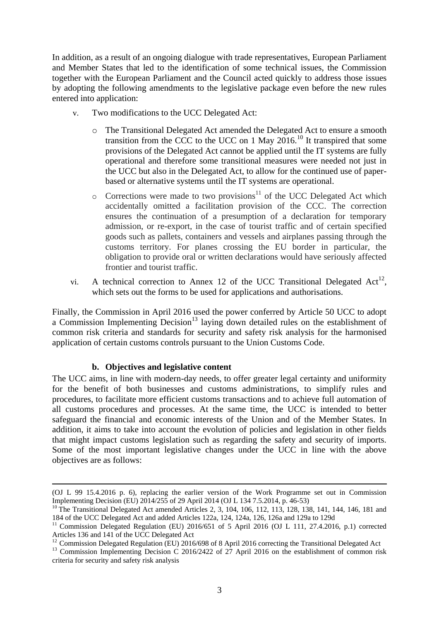In addition, as a result of an ongoing dialogue with trade representatives, European Parliament and Member States that led to the identification of some technical issues, the Commission together with the European Parliament and the Council acted quickly to address those issues by adopting the following amendments to the legislative package even before the new rules entered into application:

- <span id="page-3-0"></span>v. Two modifications to the UCC Delegated Act:
	- o The Transitional Delegated Act amended the Delegated Act to ensure a smooth transition from the CCC to the UCC on 1 May 2016.<sup>10</sup> It transpired that some provisions of the Delegated Act cannot be applied until the IT systems are fully operational and therefore some transitional measures were needed not just in the UCC but also in the Delegated Act, to allow for the continued use of paperbased or alternative systems until the IT systems are operational.
	- $\circ$  Corrections were made to two provisions<sup>11</sup> of the UCC Delegated Act which accidentally omitted a facilitation provision of the CCC. The correction ensures the continuation of a presumption of a declaration for temporary admission, or re-export, in the case of tourist traffic and of certain specified goods such as pallets, containers and vessels and airplanes passing through the customs territory. For planes crossing the EU border in particular, the obligation to provide oral or written declarations would have seriously affected frontier and tourist traffic.
- vi. A technical correction to Annex 12 of the UCC Transitional Delegated  $Act^{12}$ , which sets out the forms to be used for applications and authorisations.

Finally, the Commission in April 2016 used the power conferred by Article 50 UCC to adopt a Commission Implementing  $\overline{Decision}^{13}$  laying down detailed rules on the establishment of common risk criteria and standards for security and safety risk analysis for the harmonised application of certain customs controls pursuant to the Union Customs Code.

# <span id="page-3-1"></span>**b. Objectives and legislative content**

**.** 

The UCC aims, in line with modern-day needs, to offer greater legal certainty and uniformity for the benefit of both businesses and customs administrations, to simplify rules and procedures, to facilitate more efficient customs transactions and to achieve full automation of all customs procedures and processes. At the same time, the UCC is intended to better safeguard the financial and economic interests of the Union and of the Member States. In addition, it aims to take into account the evolution of policies and legislation in other fields that might impact customs legislation such as regarding the safety and security of imports. Some of the most important legislative changes under the UCC in line with the above objectives are as follows:

<sup>(</sup>OJ L 99 15.4.2016 p. 6), replacing the earlier version of the Work Programme set out in Commission Implementing Decision (EU) 2014/255 of 29 April 2014 (OJ L 134 7.5.2014, p. 46-53)

<sup>&</sup>lt;sup>10</sup> The Transitional Delegated Act amended Articles 2, 3, 104, 106, 112, 113, 128, 138, 141, 144, 146, 181 and 184 of the UCC Delegated Act and added Articles 122a, 124, 124a, 126, 126a and 129a to 129d

<sup>&</sup>lt;sup>11</sup> Commission Delegated Regulation (EU) 2016/651 of 5 April 2016 (OJ L 111, 27.4.2016, p.1) corrected Articles 136 and 141 of the UCC Delegated Act

<sup>&</sup>lt;sup>12</sup> Commission Delegated Regulation (EU) 2016/698 of 8 April 2016 correcting the Transitional Delegated Act

<sup>&</sup>lt;sup>13</sup> Commission Implementing Decision C 2016/2422 of 27 April 2016 on the establishment of common risk criteria for security and safety risk analysis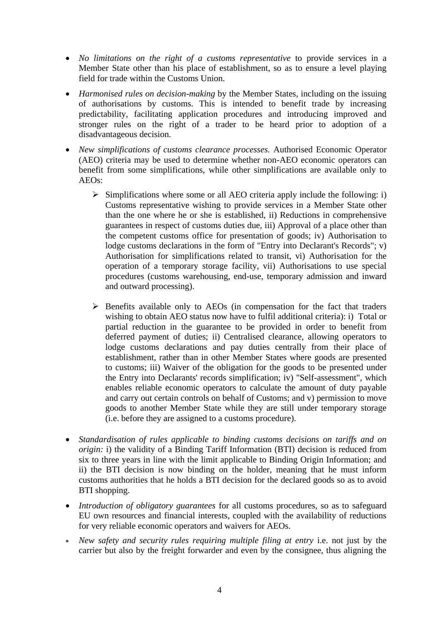- *No limitations on the right of a customs representative* to provide services in a Member State other than his place of establishment, so as to ensure a level playing field for trade within the Customs Union.
- *Harmonised rules on decision-making* by the Member States, including on the issuing of authorisations by customs. This is intended to benefit trade by increasing predictability, facilitating application procedures and introducing improved and stronger rules on the right of a trader to be heard prior to adoption of a disadvantageous decision.
- *New simplifications of customs clearance processes.* Authorised Economic Operator (AEO) criteria may be used to determine whether non-AEO economic operators can benefit from some simplifications, while other simplifications are available only to AEOs:
	- $\triangleright$  Simplifications where some or all AEO criteria apply include the following: i) Customs representative wishing to provide services in a Member State other than the one where he or she is established, ii) Reductions in comprehensive guarantees in respect of customs duties due, iii) Approval of a place other than the competent customs office for presentation of goods; iv) Authorisation to lodge customs declarations in the form of "Entry into Declarant's Records"; v) Authorisation for simplifications related to transit, vi) Authorisation for the operation of a temporary storage facility, vii) Authorisations to use special procedures (customs warehousing, end-use, temporary admission and inward and outward processing).
	- $\triangleright$  Benefits available only to AEOs (in compensation for the fact that traders wishing to obtain AEO status now have to fulfil additional criteria): i) Total or partial reduction in the guarantee to be provided in order to benefit from deferred payment of duties; ii) Centralised clearance, allowing operators to lodge customs declarations and pay duties centrally from their place of establishment, rather than in other Member States where goods are presented to customs; iii) Waiver of the obligation for the goods to be presented under the Entry into Declarants' records simplification; iv) "Self-assessment", which enables reliable economic operators to calculate the amount of duty payable and carry out certain controls on behalf of Customs; and v) permission to move goods to another Member State while they are still under temporary storage (i.e. before they are assigned to a customs procedure).
- *Standardisation of rules applicable to binding customs decisions on tariffs and on origin:* i) the validity of a Binding Tariff Information (BTI) decision is reduced from six to three years in line with the limit applicable to Binding Origin Information; and ii) the BTI decision is now binding on the holder, meaning that he must inform customs authorities that he holds a BTI decision for the declared goods so as to avoid BTI shopping.
- *Introduction of obligatory guarantees* for all customs procedures, so as to safeguard EU own resources and financial interests, coupled with the availability of reductions for very reliable economic operators and waivers for AEOs.
- *New safety and security rules requiring multiple filing at entry* i.e. not just by the carrier but also by the freight forwarder and even by the consignee, thus aligning the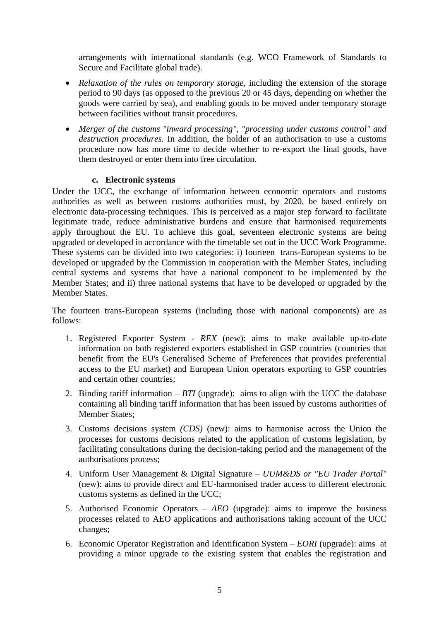arrangements with international standards (e.g. WCO Framework of Standards to Secure and Facilitate global trade).

- *Relaxation of the rules on temporary storage,* including the extension of the storage period to 90 days (as opposed to the previous 20 or 45 days, depending on whether the goods were carried by sea), and enabling goods to be moved under temporary storage between facilities without transit procedures.
- *Merger of the customs "inward processing", "processing under customs control" and destruction procedures.* In addition, the holder of an authorisation to use a customs procedure now has more time to decide whether to re-export the final goods, have them destroyed or enter them into free circulation.

# **c. Electronic systems**

Under the UCC, the exchange of information between economic operators and customs authorities as well as between customs authorities must, by 2020, be based entirely on electronic data-processing techniques. This is perceived as a major step forward to facilitate legitimate trade, reduce administrative burdens and ensure that harmonised requirements apply throughout the EU. To achieve this goal, seventeen electronic systems are being upgraded or developed in accordance with the timetable set out in the UCC Work Programme. These systems can be divided into two categories: i) fourteen trans-European systems to be developed or upgraded by the Commission in cooperation with the Member States, including central systems and systems that have a national component to be implemented by the Member States; and ii) three national systems that have to be developed or upgraded by the Member States.

The fourteen trans-European systems (including those with national components) are as follows:

- 1. Registered Exporter System *REX* (new): aims to make available up-to-date information on both registered exporters established in GSP countries (countries that benefit from the EU's Generalised Scheme of Preferences that provides preferential access to the EU market) and European Union operators exporting to GSP countries and certain other countries;
- 2. Binding tariff information *BTI* (upgrade): aims to align with the UCC the database containing all binding tariff information that has been issued by customs authorities of Member States;
- 3. Customs decisions system *(CDS)* (new): aims to harmonise across the Union the processes for customs decisions related to the application of customs legislation, by facilitating consultations during the decision-taking period and the management of the authorisations process;
- 4. Uniform User Management & Digital Signature *UUM&DS or "EU Trader Portal"* (new): aims to provide direct and EU-harmonised trader access to different electronic customs systems as defined in the UCC;
- 5. Authorised Economic Operators *AEO* (upgrade): aims to improve the business processes related to AEO applications and authorisations taking account of the UCC changes;
- 6. Economic Operator Registration and Identification System *EORI* (upgrade): aims at providing a minor upgrade to the existing system that enables the registration and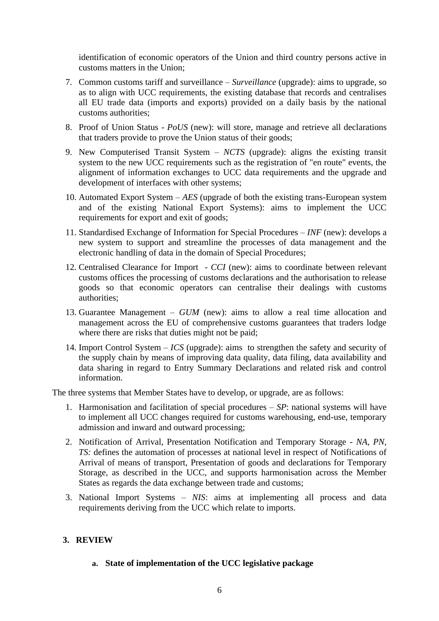identification of economic operators of the Union and third country persons active in customs matters in the Union;

- 7. Common customs tariff and surveillance *Surveillance* (upgrade): aims to upgrade, so as to align with UCC requirements, the existing database that records and centralises all EU trade data (imports and exports) provided on a daily basis by the national customs authorities;
- 8. Proof of Union Status *PoUS* (new): will store, manage and retrieve all declarations that traders provide to prove the Union status of their goods;
- 9. New Computerised Transit System *NCTS* (upgrade): aligns the existing transit system to the new UCC requirements such as the registration of "en route" events, the alignment of information exchanges to UCC data requirements and the upgrade and development of interfaces with other systems;
- 10. Automated Export System *AES* (upgrade of both the existing trans-European system and of the existing National Export Systems): aims to implement the UCC requirements for export and exit of goods;
- 11. Standardised Exchange of Information for Special Procedures *INF* (new): develops a new system to support and streamline the processes of data management and the electronic handling of data in the domain of Special Procedures;
- 12. Centralised Clearance for Import *CCI* (new): aims to coordinate between relevant customs offices the processing of customs declarations and the authorisation to release goods so that economic operators can centralise their dealings with customs authorities;
- 13. Guarantee Management *GUM* (new): aims to allow a real time allocation and management across the EU of comprehensive customs guarantees that traders lodge where there are risks that duties might not be paid;
- 14. Import Control System *ICS* (upgrade): aims to strengthen the safety and security of the supply chain by means of improving data quality, data filing, data availability and data sharing in regard to Entry Summary Declarations and related risk and control information.

The three systems that Member States have to develop, or upgrade, are as follows:

- 1. Harmonisation and facilitation of special procedures *SP*: national systems will have to implement all UCC changes required for customs warehousing, end-use, temporary admission and inward and outward processing;
- 2. Notification of Arrival, Presentation Notification and Temporary Storage *NA, PN, TS:* defines the automation of processes at national level in respect of Notifications of Arrival of means of transport, Presentation of goods and declarations for Temporary Storage, as described in the UCC, and supports harmonisation across the Member States as regards the data exchange between trade and customs;
- 3. National Import Systems *NIS*: aims at implementing all process and data requirements deriving from the UCC which relate to imports.

# **3. REVIEW**

**a. State of implementation of the UCC legislative package**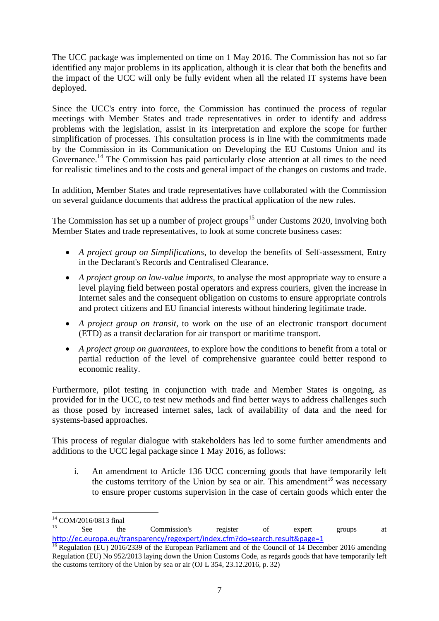The UCC package was implemented on time on 1 May 2016. The Commission has not so far identified any major problems in its application, although it is clear that both the benefits and the impact of the UCC will only be fully evident when all the related IT systems have been deployed.

Since the UCC's entry into force, the Commission has continued the process of regular meetings with Member States and trade representatives in order to identify and address problems with the legislation, assist in its interpretation and explore the scope for further simplification of processes. This consultation process is in line with the commitments made by the Commission in its Communication on Developing the EU Customs Union and its Governance.<sup>14</sup> The Commission has paid particularly close attention at all times to the need for realistic timelines and to the costs and general impact of the changes on customs and trade.

In addition, Member States and trade representatives have collaborated with the Commission on several guidance documents that address the practical application of the new rules.

The Commission has set up a number of project groups<sup>15</sup> under Customs 2020, involving both Member States and trade representatives, to look at some concrete business cases:

- *A project group on Simplifications*, to develop the benefits of Self-assessment, Entry in the Declarant's Records and Centralised Clearance.
- *A project group on low-value imports*, to analyse the most appropriate way to ensure a level playing field between postal operators and express couriers, given the increase in Internet sales and the consequent obligation on customs to ensure appropriate controls and protect citizens and EU financial interests without hindering legitimate trade.
- *A project group on transit*, to work on the use of an electronic transport document (ETD) as a transit declaration for air transport or maritime transport.
- *A project group on guarantees,* to explore how the conditions to benefit from a total or partial reduction of the level of comprehensive guarantee could better respond to economic reality.

Furthermore, pilot testing in conjunction with trade and Member States is ongoing, as provided for in the UCC, to test new methods and find better ways to address challenges such as those posed by increased internet sales, lack of availability of data and the need for systems-based approaches.

This process of regular dialogue with stakeholders has led to some further amendments and additions to the UCC legal package since 1 May 2016, as follows:

i. An amendment to Article 136 UCC concerning goods that have temporarily left the customs territory of the Union by sea or air. This amendment<sup>16</sup> was necessary to ensure proper customs supervision in the case of certain goods which enter the

<sup>1</sup> <sup>14</sup> COM/2016/0813 final

See the Commission's register of expert groups at <http://ec.europa.eu/transparency/regexpert/index.cfm?do=search.result&page=1>

<sup>&</sup>lt;sup>16</sup> Regulation (EU) 2016/2339 of the European Parliament and of the Council of 14 December 2016 amending Regulation (EU) No 952/2013 laying down the Union Customs Code, as regards goods that have temporarily left the customs territory of the Union by sea or air (OJ L 354, 23.12.2016, p. 32)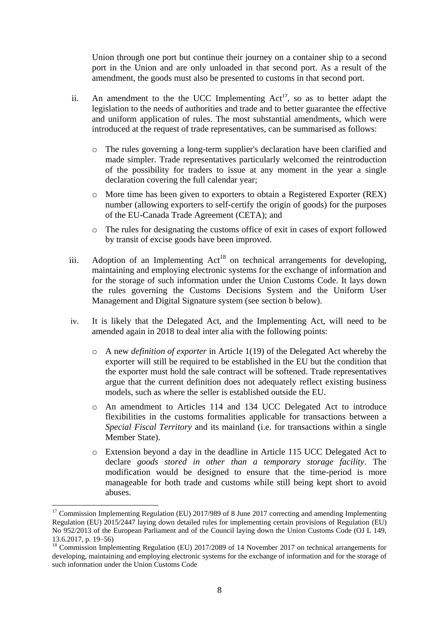Union through one port but continue their journey on a container ship to a second port in the Union and are only unloaded in that second port. As a result of the amendment, the goods must also be presented to customs in that second port.

- ii. An amendment to the the UCC Implementing  $Act^{17}$ , so as to better adapt the legislation to the needs of authorities and trade and to better guarantee the effective and uniform application of rules. The most substantial amendments, which were introduced at the request of trade representatives, can be summarised as follows:
	- o The rules governing a long-term supplier's declaration have been clarified and made simpler. Trade representatives particularly welcomed the reintroduction of the possibility for traders to issue at any moment in the year a single declaration covering the full calendar year;
	- o More time has been given to exporters to obtain a Registered Exporter (REX) number (allowing exporters to self-certify the origin of goods) for the purposes of the EU-Canada Trade Agreement (CETA); and
	- o The rules for designating the customs office of exit in cases of export followed by transit of excise goods have been improved.
- iii. Adoption of an Implementing  $Act^{18}$  on technical arrangements for developing, maintaining and employing electronic systems for the exchange of information and for the storage of such information under the Union Customs Code. It lays down the rules governing the Customs Decisions System and the Uniform User Management and Digital Signature system (see section b below).
- iv. It is likely that the Delegated Act, and the Implementing Act, will need to be amended again in 2018 to deal inter alia with the following points:
	- o A new *definition of exporter* in Article 1(19) of the Delegated Act whereby the exporter will still be required to be established in the EU but the condition that the exporter must hold the sale contract will be softened. Trade representatives argue that the current definition does not adequately reflect existing business models, such as where the seller is established outside the EU.
	- o An amendment to Articles 114 and 134 UCC Delegated Act to introduce flexibilities in the customs formalities applicable for transactions between a *Special Fiscal Territory* and its mainland (i.e. for transactions within a single Member State).
	- o Extension beyond a day in the deadline in Article 115 UCC Delegated Act to declare *goods stored in other than a temporary storage facility*. The modification would be designed to ensure that the time-period is more manageable for both trade and customs while still being kept short to avoid abuses.

**.** 

<sup>&</sup>lt;sup>17</sup> Commission Implementing Regulation (EU) 2017/989 of 8 June 2017 correcting and amending Implementing Regulation (EU) 2015/2447 laying down detailed rules for implementing certain provisions of Regulation (EU) No 952/2013 of the European Parliament and of the Council laying down the Union Customs Code (OJ L 149, 13.6.2017, p. 19–56)

<sup>&</sup>lt;sup>18</sup> Commission Implementing Regulation (EU) 2017/2089 of 14 November 2017 on technical arrangements for developing, maintaining and employing electronic systems for the exchange of information and for the storage of such information under the Union Customs Code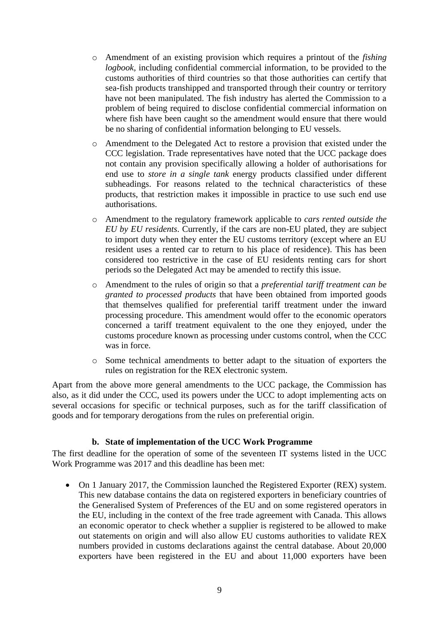- o Amendment of an existing provision which requires a printout of the *fishing logbook,* including confidential commercial information, to be provided to the customs authorities of third countries so that those authorities can certify that sea-fish products transhipped and transported through their country or territory have not been manipulated. The fish industry has alerted the Commission to a problem of being required to disclose confidential commercial information on where fish have been caught so the amendment would ensure that there would be no sharing of confidential information belonging to EU vessels.
- o Amendment to the Delegated Act to restore a provision that existed under the CCC legislation. Trade representatives have noted that the UCC package does not contain any provision specifically allowing a holder of authorisations for end use to *store in a single tank* energy products classified under different subheadings. For reasons related to the technical characteristics of these products, that restriction makes it impossible in practice to use such end use authorisations.
- o Amendment to the regulatory framework applicable to *cars rented outside the EU by EU residents*. Currently, if the cars are non-EU plated, they are subject to import duty when they enter the EU customs territory (except where an EU resident uses a rented car to return to his place of residence). This has been considered too restrictive in the case of EU residents renting cars for short periods so the Delegated Act may be amended to rectify this issue.
- o Amendment to the rules of origin so that a *preferential tariff treatment can be granted to processed products* that have been obtained from imported goods that themselves qualified for preferential tariff treatment under the inward processing procedure. This amendment would offer to the economic operators concerned a tariff treatment equivalent to the one they enjoyed, under the customs procedure known as processing under customs control, when the CCC was in force.
- o Some technical amendments to better adapt to the situation of exporters the rules on registration for the REX electronic system.

Apart from the above more general amendments to the UCC package, the Commission has also, as it did under the CCC, used its powers under the UCC to adopt implementing acts on several occasions for specific or technical purposes, such as for the tariff classification of goods and for temporary derogations from the rules on preferential origin.

### **b. State of implementation of the UCC Work Programme**

The first deadline for the operation of some of the seventeen IT systems listed in the UCC Work Programme was 2017 and this deadline has been met:

• On 1 January 2017, the Commission launched the Registered Exporter (REX) system. This new database contains the data on registered exporters in beneficiary countries of the Generalised System of Preferences of the EU and on some registered operators in the EU, including in the context of the free trade agreement with Canada. This allows an economic operator to check whether a supplier is registered to be allowed to make out statements on origin and will also allow EU customs authorities to validate REX numbers provided in customs declarations against the central database. About 20,000 exporters have been registered in the EU and about 11,000 exporters have been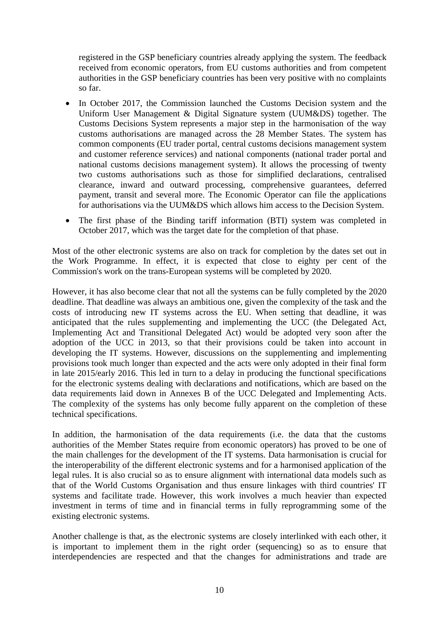registered in the GSP beneficiary countries already applying the system. The feedback received from economic operators, from EU customs authorities and from competent authorities in the GSP beneficiary countries has been very positive with no complaints so far.

- In October 2017, the Commission launched the Customs Decision system and the Uniform User Management & Digital Signature system (UUM&DS) together. The Customs Decisions System represents a major step in the harmonisation of the way customs authorisations are managed across the 28 Member States. The system has common components (EU trader portal, central customs decisions management system and customer reference services) and national components (national trader portal and national customs decisions management system). It allows the processing of twenty two customs authorisations such as those for simplified declarations, centralised clearance, inward and outward processing, comprehensive guarantees, deferred payment, transit and several more. The Economic Operator can file the applications for authorisations via the UUM&DS which allows him access to the Decision System.
- The first phase of the Binding tariff information (BTI) system was completed in October 2017, which was the target date for the completion of that phase.

Most of the other electronic systems are also on track for completion by the dates set out in the Work Programme. In effect, it is expected that close to eighty per cent of the Commission's work on the trans-European systems will be completed by 2020.

However, it has also become clear that not all the systems can be fully completed by the 2020 deadline. That deadline was always an ambitious one, given the complexity of the task and the costs of introducing new IT systems across the EU. When setting that deadline, it was anticipated that the rules supplementing and implementing the UCC (the Delegated Act, Implementing Act and Transitional Delegated Act) would be adopted very soon after the adoption of the UCC in 2013, so that their provisions could be taken into account in developing the IT systems. However, discussions on the supplementing and implementing provisions took much longer than expected and the acts were only adopted in their final form in late 2015/early 2016. This led in turn to a delay in producing the functional specifications for the electronic systems dealing with declarations and notifications, which are based on the data requirements laid down in Annexes B of the UCC Delegated and Implementing Acts. The complexity of the systems has only become fully apparent on the completion of these technical specifications.

In addition, the harmonisation of the data requirements (i.e. the data that the customs authorities of the Member States require from economic operators) has proved to be one of the main challenges for the development of the IT systems. Data harmonisation is crucial for the interoperability of the different electronic systems and for a harmonised application of the legal rules. It is also crucial so as to ensure alignment with international data models such as that of the World Customs Organisation and thus ensure linkages with third countries' IT systems and facilitate trade. However, this work involves a much heavier than expected investment in terms of time and in financial terms in fully reprogramming some of the existing electronic systems.

Another challenge is that, as the electronic systems are closely interlinked with each other, it is important to implement them in the right order (sequencing) so as to ensure that interdependencies are respected and that the changes for administrations and trade are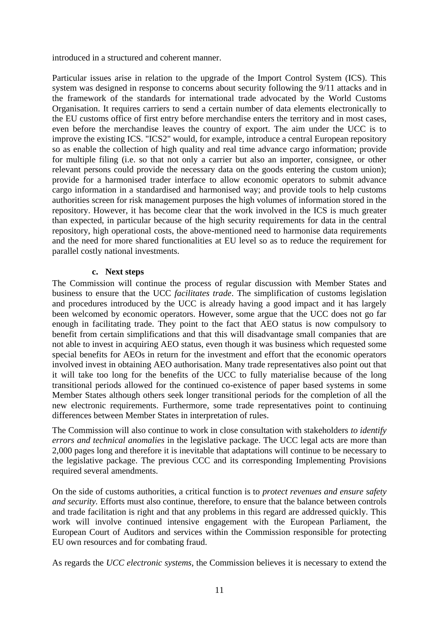introduced in a structured and coherent manner.

Particular issues arise in relation to the upgrade of the Import Control System (ICS). This system was designed in response to concerns about security following the 9/11 attacks and in the framework of the standards for international trade advocated by the World Customs Organisation. It requires carriers to send a certain number of data elements electronically to the EU customs office of first entry before merchandise enters the territory and in most cases, even before the merchandise leaves the country of export. The aim under the UCC is to improve the existing ICS. "ICS2" would, for example, introduce a central European repository so as enable the collection of high quality and real time advance cargo information; provide for multiple filing (i.e. so that not only a carrier but also an importer, consignee, or other relevant persons could provide the necessary data on the goods entering the custom union); provide for a harmonised trader interface to allow economic operators to submit advance cargo information in a standardised and harmonised way; and provide tools to help customs authorities screen for risk management purposes the high volumes of information stored in the repository. However, it has become clear that the work involved in the ICS is much greater than expected, in particular because of the high security requirements for data in the central repository, high operational costs, the above-mentioned need to harmonise data requirements and the need for more shared functionalities at EU level so as to reduce the requirement for parallel costly national investments.

### **c. Next steps**

The Commission will continue the process of regular discussion with Member States and business to ensure that the UCC *facilitates trade*. The simplification of customs legislation and procedures introduced by the UCC is already having a good impact and it has largely been welcomed by economic operators. However, some argue that the UCC does not go far enough in facilitating trade. They point to the fact that AEO status is now compulsory to benefit from certain simplifications and that this will disadvantage small companies that are not able to invest in acquiring AEO status, even though it was business which requested some special benefits for AEOs in return for the investment and effort that the economic operators involved invest in obtaining AEO authorisation. Many trade representatives also point out that it will take too long for the benefits of the UCC to fully materialise because of the long transitional periods allowed for the continued co-existence of paper based systems in some Member States although others seek longer transitional periods for the completion of all the new electronic requirements. Furthermore, some trade representatives point to continuing differences between Member States in interpretation of rules.

The Commission will also continue to work in close consultation with stakeholders *to identify errors and technical anomalies* in the legislative package. The UCC legal acts are more than 2,000 pages long and therefore it is inevitable that adaptations will continue to be necessary to the legislative package. The previous CCC and its corresponding Implementing Provisions required several amendments.

On the side of customs authorities, a critical function is to *protect revenues and ensure safety and security.* Efforts must also continue, therefore, to ensure that the balance between controls and trade facilitation is right and that any problems in this regard are addressed quickly. This work will involve continued intensive engagement with the European Parliament, the European Court of Auditors and services within the Commission responsible for protecting EU own resources and for combating fraud.

As regards the *UCC electronic systems*, the Commission believes it is necessary to extend the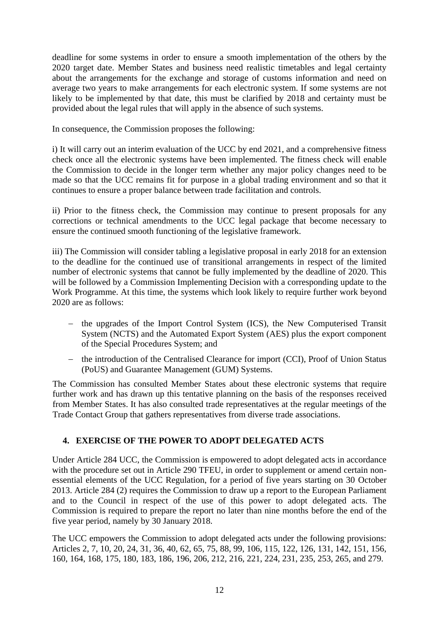deadline for some systems in order to ensure a smooth implementation of the others by the 2020 target date. Member States and business need realistic timetables and legal certainty about the arrangements for the exchange and storage of customs information and need on average two years to make arrangements for each electronic system. If some systems are not likely to be implemented by that date, this must be clarified by 2018 and certainty must be provided about the legal rules that will apply in the absence of such systems.

In consequence, the Commission proposes the following:

i) It will carry out an interim evaluation of the UCC by end 2021, and a comprehensive fitness check once all the electronic systems have been implemented. The fitness check will enable the Commission to decide in the longer term whether any major policy changes need to be made so that the UCC remains fit for purpose in a global trading environment and so that it continues to ensure a proper balance between trade facilitation and controls.

ii) Prior to the fitness check, the Commission may continue to present proposals for any corrections or technical amendments to the UCC legal package that become necessary to ensure the continued smooth functioning of the legislative framework.

iii) The Commission will consider tabling a legislative proposal in early 2018 for an extension to the deadline for the continued use of transitional arrangements in respect of the limited number of electronic systems that cannot be fully implemented by the deadline of 2020. This will be followed by a Commission Implementing Decision with a corresponding update to the Work Programme. At this time, the systems which look likely to require further work beyond 2020 are as follows:

- the upgrades of the Import Control System (ICS), the New Computerised Transit System (NCTS) and the Automated Export System (AES) plus the export component of the Special Procedures System; and
- the introduction of the Centralised Clearance for import (CCI), Proof of Union Status (PoUS) and Guarantee Management (GUM) Systems.

The Commission has consulted Member States about these electronic systems that require further work and has drawn up this tentative planning on the basis of the responses received from Member States. It has also consulted trade representatives at the regular meetings of the Trade Contact Group that gathers representatives from diverse trade associations.

# **4. EXERCISE OF THE POWER TO ADOPT DELEGATED ACTS**

Under Article 284 UCC, the Commission is empowered to adopt delegated acts in accordance with the procedure set out in Article 290 TFEU, in order to supplement or amend certain nonessential elements of the UCC Regulation, for a period of five years starting on 30 October 2013. Article 284 (2) requires the Commission to draw up a report to the European Parliament and to the Council in respect of the use of this power to adopt delegated acts. The Commission is required to prepare the report no later than nine months before the end of the five year period, namely by 30 January 2018.

The UCC empowers the Commission to adopt delegated acts under the following provisions: Articles 2, 7, 10, 20, 24, 31, 36, 40, 62, 65, 75, 88, 99, 106, 115, 122, 126, 131, 142, 151, 156, 160, 164, 168, 175, 180, 183, 186, 196, 206, 212, 216, 221, 224, 231, 235, 253, 265, and 279.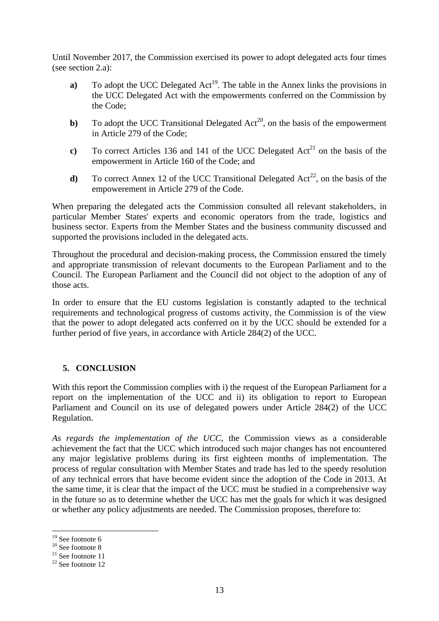Until November 2017, the Commission exercised its power to adopt delegated acts four times (see section 2.a):

- **a**) To adopt the UCC Delegated  $Act^{19}$ . The table in the Annex links the provisions in the UCC Delegated Act with the empowerments conferred on the Commission by the Code;
- **b**) To adopt the UCC Transitional Delegated  $Act^{20}$ , on the basis of the empowerment in Article 279 of the Code;
- **c**) To correct Articles 136 and 141 of the UCC Delegated  $Act^{21}$  on the basis of the empowerment in Article 160 of the Code; and
- **d**) To correct Annex 12 of the UCC Transitional Delegated  $Act^{22}$ , on the basis of the empowerement in Article 279 of the Code.

When preparing the delegated acts the Commission consulted all relevant stakeholders, in particular Member States' experts and economic operators from the trade, logistics and business sector. Experts from the Member States and the business community discussed and supported the provisions included in the delegated acts.

Throughout the procedural and decision-making process, the Commission ensured the timely and appropriate transmission of relevant documents to the European Parliament and to the Council. The European Parliament and the Council did not object to the adoption of any of those acts.

In order to ensure that the EU customs legislation is constantly adapted to the technical requirements and technological progress of customs activity, the Commission is of the view that the power to adopt delegated acts conferred on it by the UCC should be extended for a further period of five years, in accordance with Article 284(2) of the UCC.

# **5. CONCLUSION**

With this report the Commission complies with i) the request of the European Parliament for a report on the implementation of the UCC and ii) its obligation to report to European Parliament and Council on its use of delegated powers under Article 284(2) of the UCC Regulation.

*As regards the implementation of the UCC,* the Commission views as a considerable achievement the fact that the UCC which introduced such major changes has not encountered any major legislative problems during its first eighteen months of implementation. The process of regular consultation with Member States and trade has led to the speedy resolution of any technical errors that have become evident since the adoption of the Code in 2013. At the same time, it is clear that the impact of the UCC must be studied in a comprehensive way in the future so as to determine whether the UCC has met the goals for which it was designed or whether any policy adjustments are needed. The Commission proposes, therefore to:

**.** 

<sup>&</sup>lt;sup>19</sup> See footnot[e 6](#page-2-0)

<sup>&</sup>lt;sup>20</sup> See footnot[e 8](#page-2-1)

 $21$  See footnot[e 11](#page-3-0)

 $22$  See footnot[e 12](#page-3-1)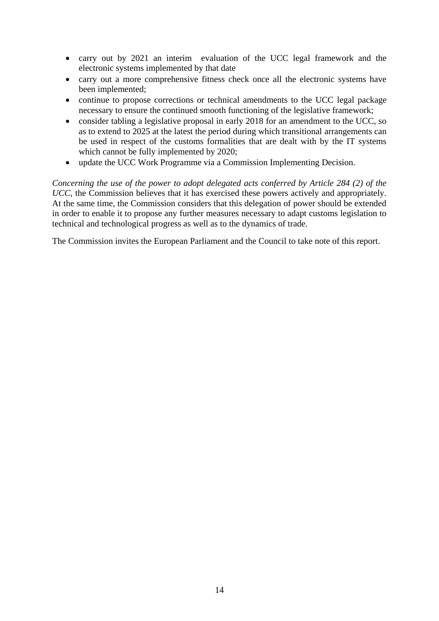- carry out by 2021 an interim evaluation of the UCC legal framework and the electronic systems implemented by that date
- carry out a more comprehensive fitness check once all the electronic systems have been implemented;
- continue to propose corrections or technical amendments to the UCC legal package necessary to ensure the continued smooth functioning of the legislative framework;
- consider tabling a legislative proposal in early 2018 for an amendment to the UCC, so as to extend to 2025 at the latest the period during which transitional arrangements can be used in respect of the customs formalities that are dealt with by the IT systems which cannot be fully implemented by 2020;
- update the UCC Work Programme via a Commission Implementing Decision.

*Concerning the use of the power to adopt delegated acts conferred by Article 284 (2) of the UCC*, the Commission believes that it has exercised these powers actively and appropriately. At the same time, the Commission considers that this delegation of power should be extended in order to enable it to propose any further measures necessary to adapt customs legislation to technical and technological progress as well as to the dynamics of trade.

The Commission invites the European Parliament and the Council to take note of this report.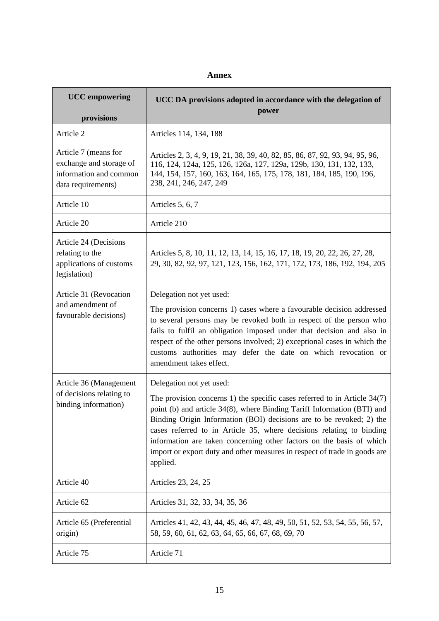### **Annex**

| <b>UCC</b> empowering<br>provisions                                                             | UCC DA provisions adopted in accordance with the delegation of<br>power                                                                                                                                                                                                                                                                                                                                                                                                                             |
|-------------------------------------------------------------------------------------------------|-----------------------------------------------------------------------------------------------------------------------------------------------------------------------------------------------------------------------------------------------------------------------------------------------------------------------------------------------------------------------------------------------------------------------------------------------------------------------------------------------------|
| Article 2                                                                                       | Articles 114, 134, 188                                                                                                                                                                                                                                                                                                                                                                                                                                                                              |
| Article 7 (means for<br>exchange and storage of<br>information and common<br>data requirements) | Articles 2, 3, 4, 9, 19, 21, 38, 39, 40, 82, 85, 86, 87, 92, 93, 94, 95, 96,<br>116, 124, 124a, 125, 126, 126a, 127, 129a, 129b, 130, 131, 132, 133,<br>144, 154, 157, 160, 163, 164, 165, 175, 178, 181, 184, 185, 190, 196,<br>238, 241, 246, 247, 249                                                                                                                                                                                                                                            |
| Article 10                                                                                      | Articles 5, 6, 7                                                                                                                                                                                                                                                                                                                                                                                                                                                                                    |
| Article 20                                                                                      | Article 210                                                                                                                                                                                                                                                                                                                                                                                                                                                                                         |
| Article 24 (Decisions<br>relating to the<br>applications of customs<br>legislation)             | Articles 5, 8, 10, 11, 12, 13, 14, 15, 16, 17, 18, 19, 20, 22, 26, 27, 28,<br>29, 30, 82, 92, 97, 121, 123, 156, 162, 171, 172, 173, 186, 192, 194, 205                                                                                                                                                                                                                                                                                                                                             |
| Article 31 (Revocation<br>and amendment of<br>favourable decisions)                             | Delegation not yet used:<br>The provision concerns 1) cases where a favourable decision addressed<br>to several persons may be revoked both in respect of the person who<br>fails to fulfil an obligation imposed under that decision and also in<br>respect of the other persons involved; 2) exceptional cases in which the<br>customs authorities may defer the date on which revocation or<br>amendment takes effect.                                                                           |
| Article 36 (Management<br>of decisions relating to<br>binding information)                      | Delegation not yet used:<br>The provision concerns 1) the specific cases referred to in Article $34(7)$<br>point (b) and article 34(8), where Binding Tariff Information (BTI) and<br>Binding Origin Information (BOI) decisions are to be revoked; 2) the<br>cases referred to in Article 35, where decisions relating to binding<br>information are taken concerning other factors on the basis of which<br>import or export duty and other measures in respect of trade in goods are<br>applied. |
| Article 40                                                                                      | Articles 23, 24, 25                                                                                                                                                                                                                                                                                                                                                                                                                                                                                 |
| Article 62                                                                                      | Articles 31, 32, 33, 34, 35, 36                                                                                                                                                                                                                                                                                                                                                                                                                                                                     |
| Article 65 (Preferential<br>origin)                                                             | Articles 41, 42, 43, 44, 45, 46, 47, 48, 49, 50, 51, 52, 53, 54, 55, 56, 57,<br>58, 59, 60, 61, 62, 63, 64, 65, 66, 67, 68, 69, 70                                                                                                                                                                                                                                                                                                                                                                  |
| Article 75                                                                                      | Article 71                                                                                                                                                                                                                                                                                                                                                                                                                                                                                          |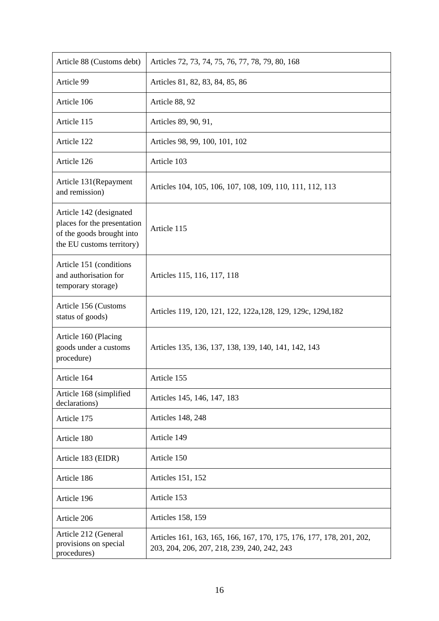| Article 88 (Customs debt)                                                                                        | Articles 72, 73, 74, 75, 76, 77, 78, 79, 80, 168                                                                    |
|------------------------------------------------------------------------------------------------------------------|---------------------------------------------------------------------------------------------------------------------|
| Article 99                                                                                                       | Articles 81, 82, 83, 84, 85, 86                                                                                     |
| Article 106                                                                                                      | Article 88, 92                                                                                                      |
| Article 115                                                                                                      | Articles 89, 90, 91,                                                                                                |
| Article 122                                                                                                      | Articles 98, 99, 100, 101, 102                                                                                      |
| Article 126                                                                                                      | Article 103                                                                                                         |
| Article 131 (Repayment<br>and remission)                                                                         | Articles 104, 105, 106, 107, 108, 109, 110, 111, 112, 113                                                           |
| Article 142 (designated<br>places for the presentation<br>of the goods brought into<br>the EU customs territory) | Article 115                                                                                                         |
| Article 151 (conditions<br>and authorisation for<br>temporary storage)                                           | Articles 115, 116, 117, 118                                                                                         |
| Article 156 (Customs<br>status of goods)                                                                         | Articles 119, 120, 121, 122, 122a, 128, 129, 129c, 129d, 182                                                        |
| Article 160 (Placing<br>goods under a customs<br>procedure)                                                      | Articles 135, 136, 137, 138, 139, 140, 141, 142, 143                                                                |
| Article 164                                                                                                      | Article 155                                                                                                         |
| Article 168 (simplified<br>declarations)                                                                         | Articles 145, 146, 147, 183                                                                                         |
| Article 175                                                                                                      | <b>Articles 148, 248</b>                                                                                            |
| Article 180                                                                                                      | Article 149                                                                                                         |
| Article 183 (EIDR)                                                                                               | Article 150                                                                                                         |
| Article 186                                                                                                      | Articles 151, 152                                                                                                   |
| Article 196                                                                                                      | Article 153                                                                                                         |
| Article 206                                                                                                      | <b>Articles 158, 159</b>                                                                                            |
| Article 212 (General<br>provisions on special<br>procedures)                                                     | Articles 161, 163, 165, 166, 167, 170, 175, 176, 177, 178, 201, 202,<br>203, 204, 206, 207, 218, 239, 240, 242, 243 |